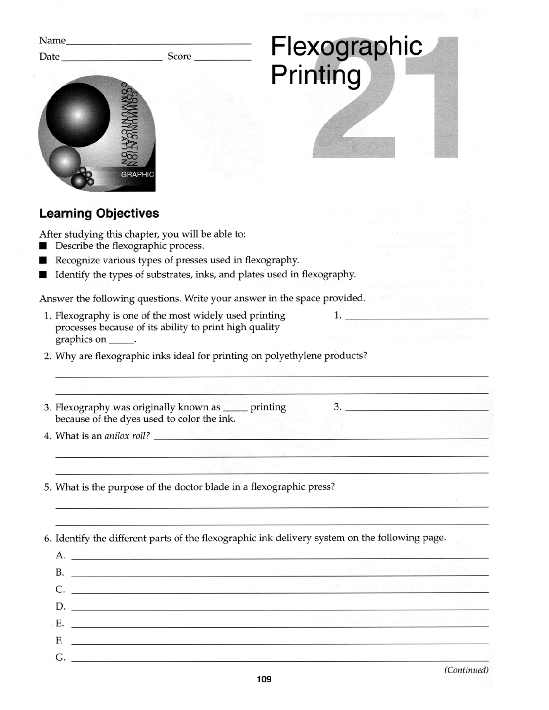| Name_                                                                                                                                                                                                                          |                                                                                                |
|--------------------------------------------------------------------------------------------------------------------------------------------------------------------------------------------------------------------------------|------------------------------------------------------------------------------------------------|
| Score<br>Date                                                                                                                                                                                                                  | Flexographic<br>Printing                                                                       |
| <b>GRAPHIC</b>                                                                                                                                                                                                                 |                                                                                                |
| <b>Learning Objectives</b>                                                                                                                                                                                                     |                                                                                                |
| After studying this chapter, you will be able to:<br>Describe the flexographic process.<br>Recognize various types of presses used in flexography.<br>Identify the types of substrates, inks, and plates used in flexography.  |                                                                                                |
| Answer the following questions. Write your answer in the space provided.                                                                                                                                                       |                                                                                                |
| 1. Flexography is one of the most widely used printing<br>processes because of its ability to print high quality<br>graphics on _____                                                                                          | 1.                                                                                             |
| 2. Why are flexographic inks ideal for printing on polyethylene products?                                                                                                                                                      |                                                                                                |
| 3. Flexography was originally known as _____ printing                                                                                                                                                                          | 3.                                                                                             |
| because of the dyes used to color the ink.<br>4. What is an <i>anilox roll?</i>                                                                                                                                                |                                                                                                |
| 5. What is the purpose of the doctor blade in a flexographic press?                                                                                                                                                            |                                                                                                |
|                                                                                                                                                                                                                                | 6. Identify the different parts of the flexographic ink delivery system on the following page. |
| $\rm A.$ $\qquad \qquad \qquad$<br>B. The company of the company of the company of the company of the company of the company of the company of the                                                                             |                                                                                                |
| C. <u>Alexandro C. Maria C. Maria Alexandro C. Alexandro C. Maria Alexandro C. Maria Alexandro C. Maria Alexandro C</u>                                                                                                        |                                                                                                |
| D. Participants and the contract of the contract of the contract of the contract of the contract of the contract of the contract of the contract of the contract of the contract of the contract of the contract of the contra |                                                                                                |
| E. <u>Charles of Communications and Charles and</u>                                                                                                                                                                            |                                                                                                |
| F.<br>الكافر والمستقبل المستقبل المستقبل المستقبل المستقبل المستقبل المستقبل المستقبل المستقبل المستقبل                                                                                                                        |                                                                                                |
| $G$ , which is a sequence of the system of the state of the system of the system of the system of the $\sim$                                                                                                                   |                                                                                                |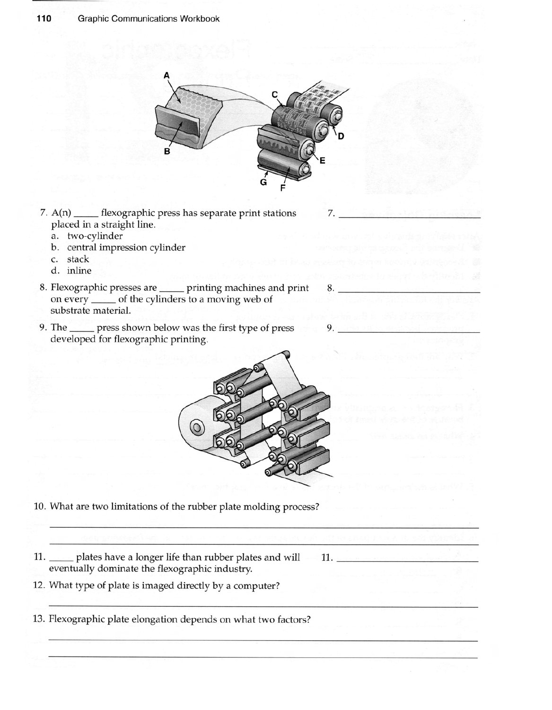

- 7. A(n) flexographic press has separate print stations 7. placed in a straight line.
	- a. two-cylinder
	- b. central impression cylinder
	- c. stack
	- d. inline
- 8. Flexographic presses are <u>equilibrium</u> printing machines and print 8. on every <u>or a</u> of the cylinders to a moving web of substrate material.
- 9. The <u>same press</u> shown below was the first type of press 9. developed for flexographic printing.



- 10. What are two limitations of the rubber plate molding process?
- 11. plates have a longer life than rubber plates and will 11. eventually dominate the flexographic industry.
- 12. What type of plate is imaged directly by a computer?
- 13. Flexographic plate elongation depends on what two factors?